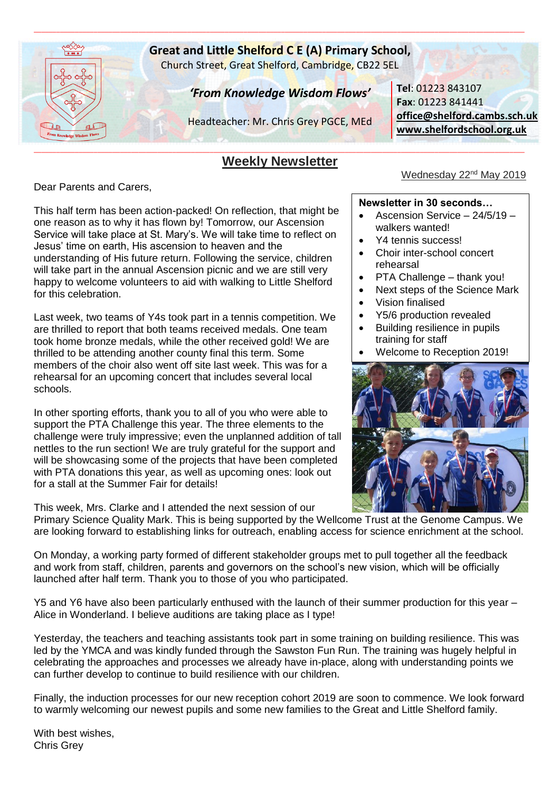

# **Great and Little Shelford C E (A) Primary School,**

\_\_\_\_\_\_\_\_\_\_\_\_\_\_\_\_\_\_\_\_\_\_\_\_\_\_\_\_\_\_\_\_\_\_\_\_\_\_\_\_\_\_\_\_\_\_\_\_\_\_\_\_\_\_\_\_\_\_\_\_\_\_\_\_\_\_\_\_\_\_\_\_\_\_\_\_\_\_\_\_\_\_\_\_\_\_\_\_\_\_\_\_\_\_\_\_\_\_\_\_\_\_\_\_\_\_\_\_\_\_\_\_\_\_\_\_\_\_\_\_\_\_\_\_\_\_\_\_\_\_\_

Church Street, Great Shelford, Cambridge, CB22 5EL

# *'From Knowledge Wisdom Flows'*

Headteacher: Mr. Chris Grey PGCE, MEd

#### \_\_\_\_\_\_\_\_\_\_\_\_\_\_\_\_\_\_\_\_\_\_\_\_\_\_\_\_\_\_\_\_\_\_\_\_\_\_\_\_\_\_\_\_\_\_\_\_\_\_\_\_\_\_\_\_\_\_\_\_\_\_\_\_\_\_\_\_\_\_\_\_\_\_\_\_\_\_\_\_\_\_\_\_\_\_\_\_\_\_\_\_\_\_\_\_\_\_\_\_\_\_\_\_\_\_\_\_\_\_\_\_\_\_\_\_\_\_\_\_\_\_\_\_\_\_\_\_\_\_\_ **Weekly Newsletter**

Dear Parents and Carers,

This half term has been action-packed! On reflection, that might be one reason as to why it has flown by! Tomorrow, our Ascension Service will take place at St. Mary's. We will take time to reflect on Jesus' time on earth, His ascension to heaven and the understanding of His future return. Following the service, children will take part in the annual Ascension picnic and we are still very happy to welcome volunteers to aid with walking to Little Shelford for this celebration.

Last week, two teams of Y4s took part in a tennis competition. We are thrilled to report that both teams received medals. One team took home bronze medals, while the other received gold! We are thrilled to be attending another county final this term. Some members of the choir also went off site last week. This was for a rehearsal for an upcoming concert that includes several local schools.

In other sporting efforts, thank you to all of you who were able to support the PTA Challenge this year. The three elements to the challenge were truly impressive; even the unplanned addition of tall nettles to the run section! We are truly grateful for the support and will be showcasing some of the projects that have been completed with PTA donations this year, as well as upcoming ones: look out for a stall at the Summer Fair for details!

This week, Mrs. Clarke and I attended the next session of our

**Tel**: 01223 843107 **Fax**: 01223 841441 **[office@shelford.cambs.sch.uk](mailto:office@shelford.cambs.sch.uk) [www.shelfordschool.org.uk](http://www.shelfordschool.org.uk/)**

# Wednesday 22<sup>nd</sup> May 2019

### **Newsletter in 30 seconds…**

- Ascension Service 24/5/19 walkers wanted!
- Y4 tennis success!
- Choir inter-school concert rehearsal
- PTA Challenge thank you!
- Next steps of the Science Mark
- Vision finalised
- Y5/6 production revealed
- Building resilience in pupils training for staff
- Welcome to Reception 2019!



Primary Science Quality Mark. This is being supported by the Wellcome Trust at the Genome Campus. We are looking forward to establishing links for outreach, enabling access for science enrichment at the school.

On Monday, a working party formed of different stakeholder groups met to pull together all the feedback and work from staff, children, parents and governors on the school's new vision, which will be officially launched after half term. Thank you to those of you who participated.

Y5 and Y6 have also been particularly enthused with the launch of their summer production for this year – Alice in Wonderland. I believe auditions are taking place as I type!

Yesterday, the teachers and teaching assistants took part in some training on building resilience. This was led by the YMCA and was kindly funded through the Sawston Fun Run. The training was hugely helpful in celebrating the approaches and processes we already have in-place, along with understanding points we can further develop to continue to build resilience with our children.

Finally, the induction processes for our new reception cohort 2019 are soon to commence. We look forward to warmly welcoming our newest pupils and some new families to the Great and Little Shelford family.

With best wishes, Chris Grey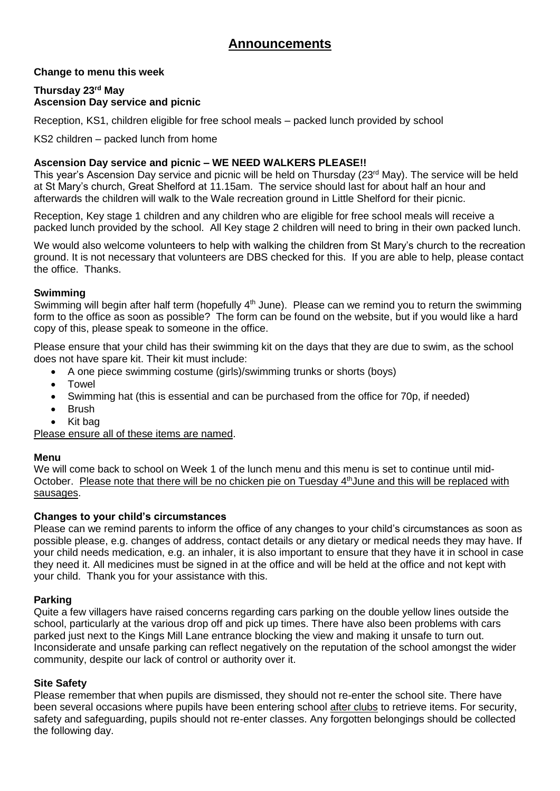# **Announcements**

# **Change to menu this week**

## **Thursday 23rd May Ascension Day service and picnic**

Reception, KS1, children eligible for free school meals – packed lunch provided by school

KS2 children – packed lunch from home

## **Ascension Day service and picnic – WE NEED WALKERS PLEASE!!**

This year's Ascension Day service and picnic will be held on Thursday (23<sup>rd</sup> May). The service will be held at St Mary's church, Great Shelford at 11.15am. The service should last for about half an hour and afterwards the children will walk to the Wale recreation ground in Little Shelford for their picnic.

Reception, Key stage 1 children and any children who are eligible for free school meals will receive a packed lunch provided by the school. All Key stage 2 children will need to bring in their own packed lunch.

We would also welcome volunteers to help with walking the children from St Mary's church to the recreation ground. It is not necessary that volunteers are DBS checked for this. If you are able to help, please contact the office. Thanks.

### **Swimming**

Swimming will begin after half term (hopefully 4<sup>th</sup> June). Please can we remind you to return the swimming form to the office as soon as possible? The form can be found on the website, but if you would like a hard copy of this, please speak to someone in the office.

Please ensure that your child has their swimming kit on the days that they are due to swim, as the school does not have spare kit. Their kit must include:

- A one piece swimming costume (girls)/swimming trunks or shorts (boys)
- Towel
- Swimming hat (this is essential and can be purchased from the office for 70p, if needed)
- Brush
- Kit bag

Please ensure all of these items are named.

### **Menu**

We will come back to school on Week 1 of the lunch menu and this menu is set to continue until mid-October. Please note that there will be no chicken pie on Tuesday 4<sup>th</sup> June and this will be replaced with sausages.

### **Changes to your child's circumstances**

Please can we remind parents to inform the office of any changes to your child's circumstances as soon as possible please, e.g. changes of address, contact details or any dietary or medical needs they may have. If your child needs medication, e.g. an inhaler, it is also important to ensure that they have it in school in case they need it. All medicines must be signed in at the office and will be held at the office and not kept with your child. Thank you for your assistance with this.

### **Parking**

Quite a few villagers have raised concerns regarding cars parking on the double yellow lines outside the school, particularly at the various drop off and pick up times. There have also been problems with cars parked just next to the Kings Mill Lane entrance blocking the view and making it unsafe to turn out. Inconsiderate and unsafe parking can reflect negatively on the reputation of the school amongst the wider community, despite our lack of control or authority over it.

### **Site Safety**

Please remember that when pupils are dismissed, they should not re-enter the school site. There have been several occasions where pupils have been entering school after clubs to retrieve items. For security, safety and safeguarding, pupils should not re-enter classes. Any forgotten belongings should be collected the following day.